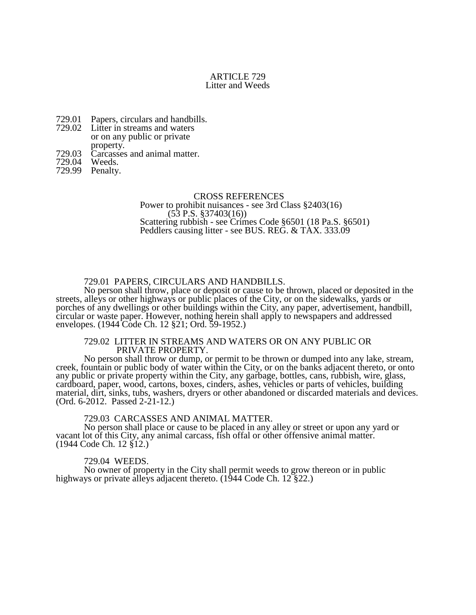# ARTICLE 729 Litter and Weeds

- 729.01 Papers, circulars and handbills.
- 729.02 Litter in streams and waters or on any public or private property.
- 729.03 Carcasses and animal matter.<br>729.04 Weeds.
- 729.04
- 729.99 Penalty.

### CROSS REFERENCES

Power to prohibit nuisances - see 3rd Class §2403(16)  $(53 \text{ P.S. } $37403(16))$ Scattering rubbish - see Crimes Code §6501 (18 Pa.S. §6501) Peddlers causing litter - see BUS. REG. & TAX. 333.09

# 729.01 PAPERS, CIRCULARS AND HANDBILLS.

No person shall throw, place or deposit or cause to be thrown, placed or deposited in the streets, alleys or other highways or public places of the City, or on the sidewalks, yards or porches of any dwellings or other buildings within the City, any paper, advertisement, handbill, circular or waste paper. However, nothing herein shall apply to newspapers and addressed envelopes. (1944 Code Ch. 12 §21; Ord. 59-1952.)

### 729.02 LITTER IN STREAMS AND WATERS OR ON ANY PUBLIC OR PRIVATE PROPERTY.

No person shall throw or dump, or permit to be thrown or dumped into any lake, stream, creek, fountain or public body of water within the City, or on the banks adjacent thereto, or onto any public or private property within the City, any garbage, bottles, cans, rubbish, wire, glass, cardboard, paper, wood, cartons, boxes, cinders, ashes, vehicles or parts of vehicles, building material, dirt, sinks, tubs, washers, dryers or other abandoned or discarded materials and devices. (Ord. 6-2012. Passed 2-21-12.)

# 729.03 CARCASSES AND ANIMAL MATTER.

No person shall place or cause to be placed in any alley or street or upon any yard or vacant lot of this City, any animal carcass, fish offal or other offensive animal matter. (1944 Code Ch. 12 §12.)

#### 729.04 WEEDS.

No owner of property in the City shall permit weeds to grow thereon or in public highways or private alleys adjacent thereto. (1944 Code Ch. 12 §22.)